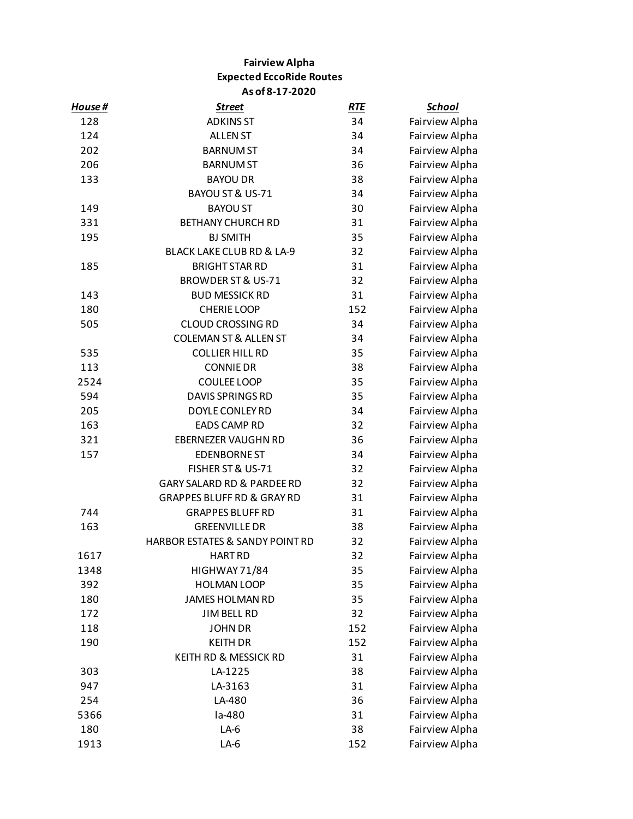## **Fairview Alpha Expected EccoRide Routes As of 8-17-2020**

| <u>House #</u> | <u>Street</u>                         | <b>RTE</b> | <b>School</b>  |
|----------------|---------------------------------------|------------|----------------|
| 128            | <b>ADKINS ST</b>                      | 34         | Fairview Alpha |
| 124            | <b>ALLEN ST</b>                       | 34         | Fairview Alpha |
| 202            | <b>BARNUM ST</b>                      | 34         | Fairview Alpha |
| 206            | <b>BARNUM ST</b>                      | 36         | Fairview Alpha |
| 133            | <b>BAYOU DR</b>                       | 38         | Fairview Alpha |
|                | BAYOU ST & US-71                      | 34         | Fairview Alpha |
| 149            | <b>BAYOU ST</b>                       | 30         | Fairview Alpha |
| 331            | <b>BETHANY CHURCH RD</b>              | 31         | Fairview Alpha |
| 195            | <b>BJ SMITH</b>                       | 35         | Fairview Alpha |
|                | BLACK LAKE CLUB RD & LA-9             | 32         | Fairview Alpha |
| 185            | <b>BRIGHT STAR RD</b>                 | 31         | Fairview Alpha |
|                | <b>BROWDER ST &amp; US-71</b>         | 32         | Fairview Alpha |
| 143            | <b>BUD MESSICK RD</b>                 | 31         | Fairview Alpha |
| 180            | <b>CHERIE LOOP</b>                    | 152        | Fairview Alpha |
| 505            | <b>CLOUD CROSSING RD</b>              | 34         | Fairview Alpha |
|                | <b>COLEMAN ST &amp; ALLEN ST</b>      | 34         | Fairview Alpha |
| 535            | <b>COLLIER HILL RD</b>                | 35         | Fairview Alpha |
| 113            | <b>CONNIE DR</b>                      | 38         | Fairview Alpha |
| 2524           | COULEE LOOP                           | 35         | Fairview Alpha |
| 594            | <b>DAVIS SPRINGS RD</b>               | 35         | Fairview Alpha |
| 205            | DOYLE CONLEY RD                       | 34         | Fairview Alpha |
| 163            | <b>EADS CAMP RD</b>                   | 32         | Fairview Alpha |
| 321            | EBERNEZER VAUGHN RD                   | 36         | Fairview Alpha |
| 157            | <b>EDENBORNE ST</b>                   | 34         | Fairview Alpha |
|                | FISHER ST & US-71                     | 32         | Fairview Alpha |
|                | GARY SALARD RD & PARDEE RD            | 32         | Fairview Alpha |
|                | <b>GRAPPES BLUFF RD &amp; GRAY RD</b> | 31         | Fairview Alpha |
| 744            | <b>GRAPPES BLUFF RD</b>               | 31         | Fairview Alpha |
| 163            | <b>GREENVILLE DR</b>                  | 38         | Fairview Alpha |
|                | HARBOR ESTATES & SANDY POINT RD       | 32         | Fairview Alpha |
| 1617           | <b>HART RD</b>                        | 32         | Fairview Alpha |
| 1348           | HIGHWAY 71/84                         | 35         | Fairview Alpha |
| 392            | <b>HOLMAN LOOP</b>                    | 35         | Fairview Alpha |
| 180            | <b>JAMES HOLMAN RD</b>                | 35         | Fairview Alpha |
| 172            | <b>JIM BELL RD</b>                    | 32         | Fairview Alpha |
| 118            | <b>JOHN DR</b>                        | 152        | Fairview Alpha |
| 190            | <b>KEITH DR</b>                       | 152        | Fairview Alpha |
|                | KEITH RD & MESSICK RD                 | 31         | Fairview Alpha |
| 303            | LA-1225                               | 38         | Fairview Alpha |
| 947            | LA-3163                               | 31         | Fairview Alpha |
| 254            | LA-480                                | 36         | Fairview Alpha |
| 5366           | la-480                                | 31         | Fairview Alpha |
| 180            | $LA-6$                                | 38         | Fairview Alpha |
| 1913           | $LA-6$                                | 152        | Fairview Alpha |